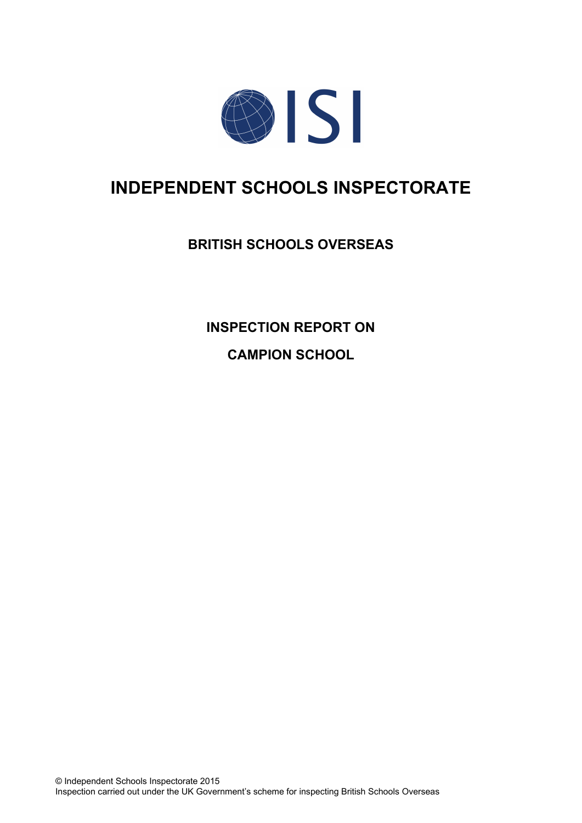

# **INDEPENDENT SCHOOLS INSPECTORATE**

## **BRITISH SCHOOLS OVERSEAS**

**INSPECTION REPORT ON**

**CAMPION SCHOOL**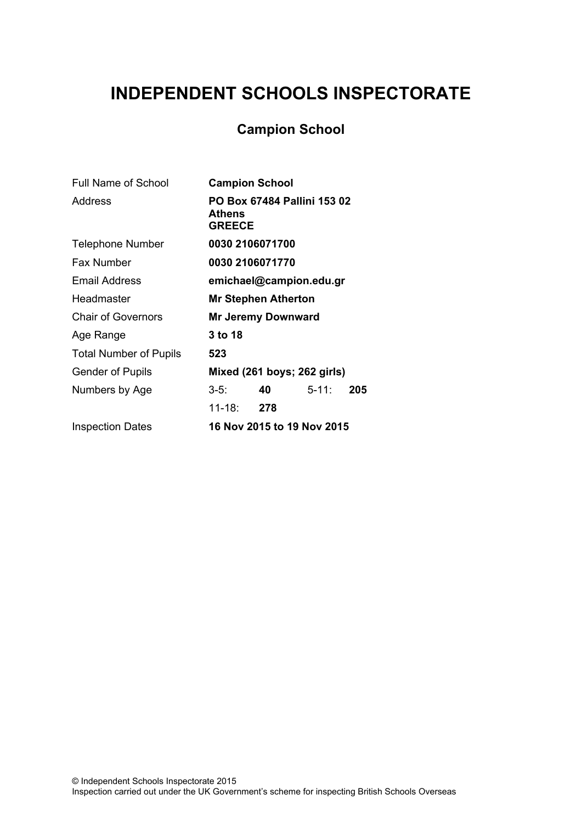# **INDEPENDENT SCHOOLS INSPECTORATE**

## **Campion School**

| <b>Full Name of School</b>    | <b>Campion School</b>                                  |                            |            |     |
|-------------------------------|--------------------------------------------------------|----------------------------|------------|-----|
| Address                       | PO Box 67484 Pallini 153 02<br>Athens<br><b>GREECE</b> |                            |            |     |
| <b>Telephone Number</b>       | 0030 2106071700                                        |                            |            |     |
| <b>Fax Number</b>             | 0030 2106071770                                        |                            |            |     |
| Email Address                 | emichael@campion.edu.gr                                |                            |            |     |
| Headmaster                    | <b>Mr Stephen Atherton</b>                             |                            |            |     |
| <b>Chair of Governors</b>     | <b>Mr Jeremy Downward</b>                              |                            |            |     |
| Age Range                     | 3 to 18                                                |                            |            |     |
| <b>Total Number of Pupils</b> | 523                                                    |                            |            |     |
| <b>Gender of Pupils</b>       | Mixed (261 boys; 262 girls)                            |                            |            |     |
| Numbers by Age                | $3-5:$                                                 | 40                         | $5 - 11$ : | 205 |
|                               | 11-18:                                                 | 278                        |            |     |
| <b>Inspection Dates</b>       |                                                        | 16 Nov 2015 to 19 Nov 2015 |            |     |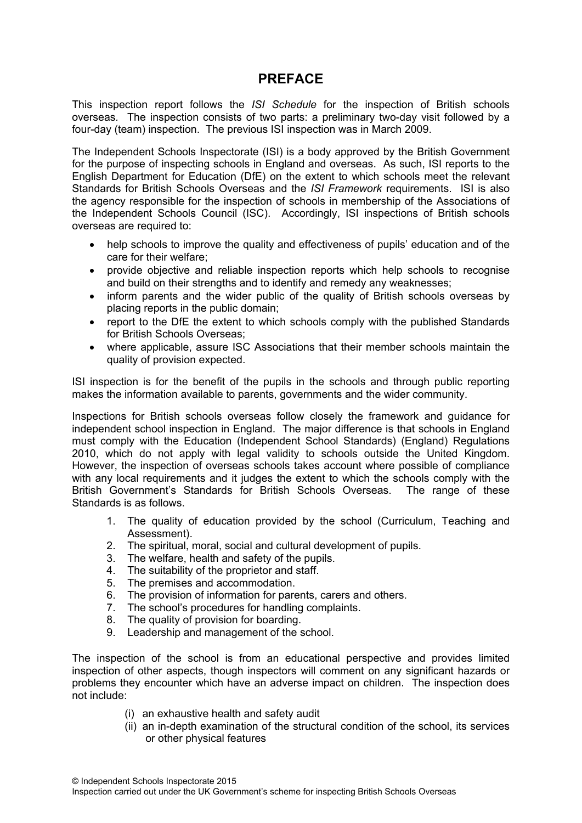## **PREFACE**

This inspection report follows the *ISI Schedule* for the inspection of British schools overseas*.* The inspection consists of two parts: a preliminary two-day visit followed by a four-day (team) inspection. The previous ISI inspection was in March 2009.

The Independent Schools Inspectorate (ISI) is a body approved by the British Government for the purpose of inspecting schools in England and overseas. As such, ISI reports to the English Department for Education (DfE) on the extent to which schools meet the relevant Standards for British Schools Overseas and the *ISI Framework* requirements. ISI is also the agency responsible for the inspection of schools in membership of the Associations of the Independent Schools Council (ISC). Accordingly, ISI inspections of British schools overseas are required to:

- help schools to improve the quality and effectiveness of pupils' education and of the care for their welfare;
- provide objective and reliable inspection reports which help schools to recognise and build on their strengths and to identify and remedy any weaknesses;
- inform parents and the wider public of the quality of British schools overseas by placing reports in the public domain;
- report to the DfE the extent to which schools comply with the published Standards for British Schools Overseas;
- where applicable, assure ISC Associations that their member schools maintain the quality of provision expected.

ISI inspection is for the benefit of the pupils in the schools and through public reporting makes the information available to parents, governments and the wider community.

Inspections for British schools overseas follow closely the framework and guidance for independent school inspection in England. The major difference is that schools in England must comply with the Education (Independent School Standards) (England) Regulations 2010, which do not apply with legal validity to schools outside the United Kingdom. However, the inspection of overseas schools takes account where possible of compliance with any local requirements and it judges the extent to which the schools comply with the British Government's Standards for British Schools Overseas. The range of these Standards is as follows.

- 1. The quality of education provided by the school (Curriculum, Teaching and Assessment).
- 2. The spiritual, moral, social and cultural development of pupils.
- 3. The welfare, health and safety of the pupils.
- 4. The suitability of the proprietor and staff.
- 5. The premises and accommodation.
- 6. The provision of information for parents, carers and others.
- 7. The school's procedures for handling complaints.
- 8. The quality of provision for boarding.
- 9. Leadership and management of the school.

The inspection of the school is from an educational perspective and provides limited inspection of other aspects, though inspectors will comment on any significant hazards or problems they encounter which have an adverse impact on children. The inspection does not include:

- (i) an exhaustive health and safety audit
- (ii) an in-depth examination of the structural condition of the school, its services or other physical features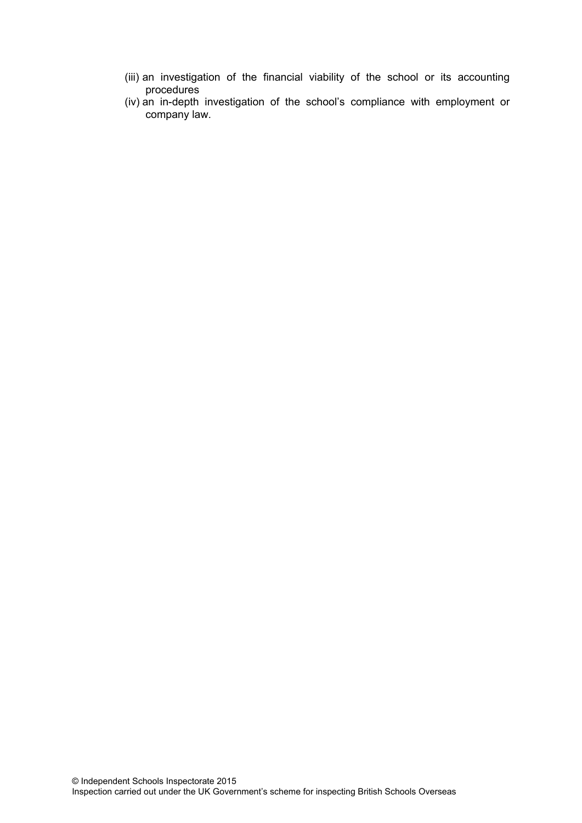- (iii) an investigation of the financial viability of the school or its accounting procedures
- (iv) an in-depth investigation of the school's compliance with employment or company law.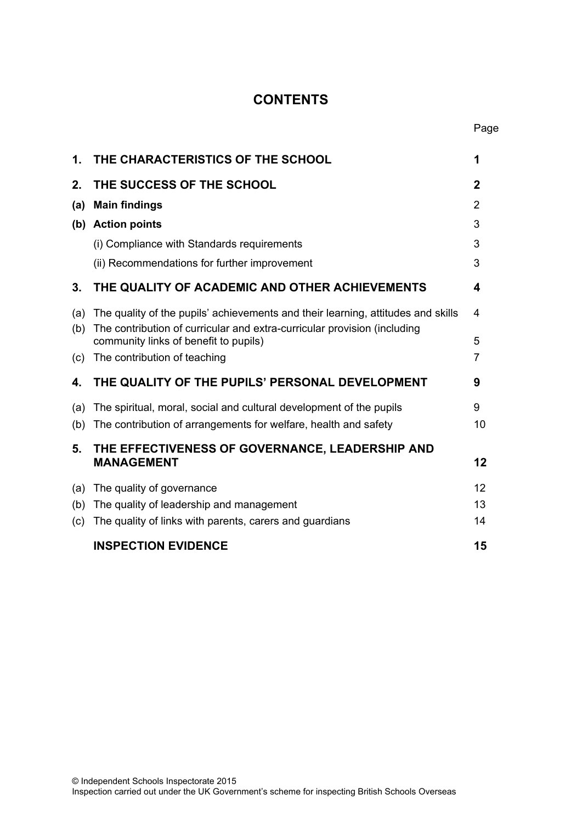## **CONTENTS**

| 1.  | THE CHARACTERISTICS OF THE SCHOOL                                                                                 | 1              |
|-----|-------------------------------------------------------------------------------------------------------------------|----------------|
| 2.  | THE SUCCESS OF THE SCHOOL                                                                                         | $\mathbf{2}$   |
| (a) | <b>Main findings</b>                                                                                              | $\overline{2}$ |
| (b) | <b>Action points</b>                                                                                              | 3              |
|     | (i) Compliance with Standards requirements                                                                        | 3              |
|     | (ii) Recommendations for further improvement                                                                      | 3              |
| 3.  | THE QUALITY OF ACADEMIC AND OTHER ACHIEVEMENTS                                                                    | 4              |
| (a) | The quality of the pupils' achievements and their learning, attitudes and skills                                  | 4              |
| (b) | The contribution of curricular and extra-curricular provision (including<br>community links of benefit to pupils) | 5              |
| (c) | The contribution of teaching                                                                                      | 7              |
| 4.  | THE QUALITY OF THE PUPILS' PERSONAL DEVELOPMENT                                                                   | 9              |
| (a) | The spiritual, moral, social and cultural development of the pupils                                               | 9              |
| (b) | The contribution of arrangements for welfare, health and safety                                                   | 10             |
| 5.  | THE EFFECTIVENESS OF GOVERNANCE, LEADERSHIP AND                                                                   |                |
|     | <b>MANAGEMENT</b>                                                                                                 | 12             |
|     | (a) The quality of governance                                                                                     | 12             |
|     | (b) The quality of leadership and management                                                                      | 13             |
| (c) | The quality of links with parents, carers and guardians                                                           | 14             |
|     | <b>INSPECTION EVIDENCE</b>                                                                                        | 15             |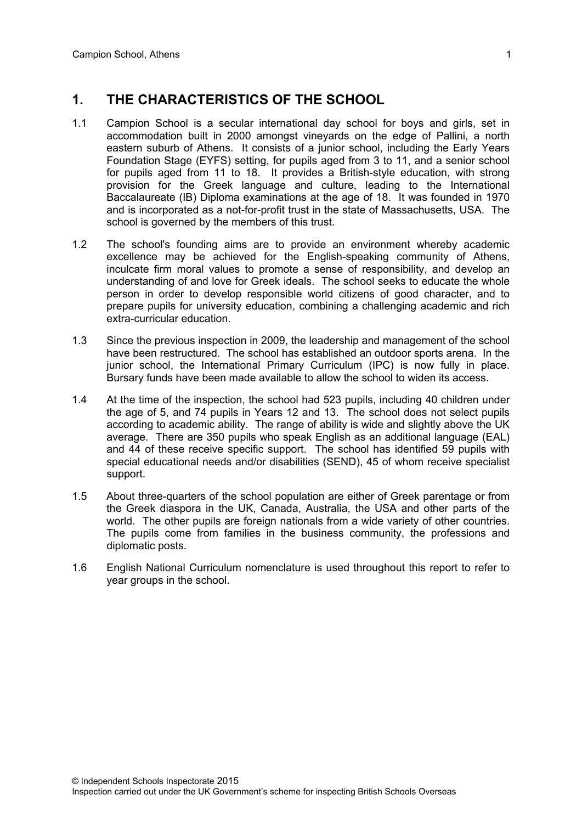### **1. THE CHARACTERISTICS OF THE SCHOOL**

- 1.1 Campion School is a secular international day school for boys and girls, set in accommodation built in 2000 amongst vineyards on the edge of Pallini, a north eastern suburb of Athens. It consists of a junior school, including the Early Years Foundation Stage (EYFS) setting, for pupils aged from 3 to 11, and a senior school for pupils aged from 11 to 18. It provides a British-style education, with strong provision for the Greek language and culture, leading to the International Baccalaureate (IB) Diploma examinations at the age of 18. It was founded in 1970 and is incorporated as a not-for-profit trust in the state of Massachusetts, USA. The school is governed by the members of this trust.
- 1.2 The school's founding aims are to provide an environment whereby academic excellence may be achieved for the English-speaking community of Athens, inculcate firm moral values to promote a sense of responsibility, and develop an understanding of and love for Greek ideals. The school seeks to educate the whole person in order to develop responsible world citizens of good character, and to prepare pupils for university education, combining a challenging academic and rich extra-curricular education.
- 1.3 Since the previous inspection in 2009, the leadership and management of the school have been restructured. The school has established an outdoor sports arena. In the junior school, the International Primary Curriculum (IPC) is now fully in place. Bursary funds have been made available to allow the school to widen its access.
- 1.4 At the time of the inspection, the school had 523 pupils, including 40 children under the age of 5, and 74 pupils in Years 12 and 13. The school does not select pupils according to academic ability. The range of ability is wide and slightly above the UK average. There are 350 pupils who speak English as an additional language (EAL) and 44 of these receive specific support. The school has identified 59 pupils with special educational needs and/or disabilities (SEND), 45 of whom receive specialist support.
- 1.5 About three-quarters of the school population are either of Greek parentage or from the Greek diaspora in the UK, Canada, Australia, the USA and other parts of the world. The other pupils are foreign nationals from a wide variety of other countries. The pupils come from families in the business community, the professions and diplomatic posts.
- 1.6 English National Curriculum nomenclature is used throughout this report to refer to year groups in the school.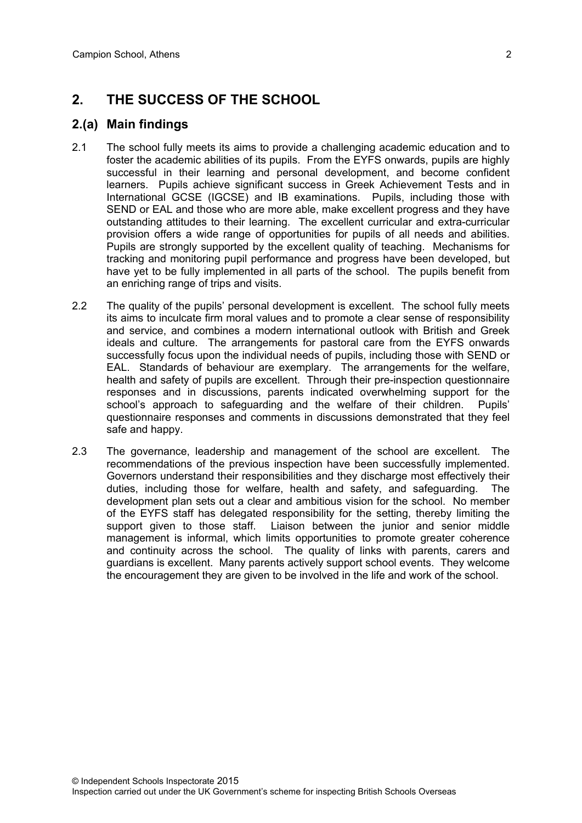## **2. THE SUCCESS OF THE SCHOOL**

#### **2.(a) Main findings**

- 2.1 The school fully meets its aims to provide a challenging academic education and to foster the academic abilities of its pupils. From the EYFS onwards, pupils are highly successful in their learning and personal development, and become confident learners. Pupils achieve significant success in Greek Achievement Tests and in International GCSE (IGCSE) and IB examinations. Pupils, including those with SEND or EAL and those who are more able, make excellent progress and they have outstanding attitudes to their learning. The excellent curricular and extra-curricular provision offers a wide range of opportunities for pupils of all needs and abilities. Pupils are strongly supported by the excellent quality of teaching. Mechanisms for tracking and monitoring pupil performance and progress have been developed, but have yet to be fully implemented in all parts of the school. The pupils benefit from an enriching range of trips and visits.
- 2.2 The quality of the pupils' personal development is excellent. The school fully meets its aims to inculcate firm moral values and to promote a clear sense of responsibility and service, and combines a modern international outlook with British and Greek ideals and culture. The arrangements for pastoral care from the EYFS onwards successfully focus upon the individual needs of pupils, including those with SEND or EAL. Standards of behaviour are exemplary. The arrangements for the welfare, health and safety of pupils are excellent. Through their pre-inspection questionnaire responses and in discussions, parents indicated overwhelming support for the school's approach to safeguarding and the welfare of their children. Pupils' questionnaire responses and comments in discussions demonstrated that they feel safe and happy.
- 2.3 The governance, leadership and management of the school are excellent. The recommendations of the previous inspection have been successfully implemented. Governors understand their responsibilities and they discharge most effectively their duties, including those for welfare, health and safety, and safeguarding. The development plan sets out a clear and ambitious vision for the school. No member of the EYFS staff has delegated responsibility for the setting, thereby limiting the support given to those staff. Liaison between the junior and senior middle management is informal, which limits opportunities to promote greater coherence and continuity across the school. The quality of links with parents, carers and guardians is excellent. Many parents actively support school events. They welcome the encouragement they are given to be involved in the life and work of the school.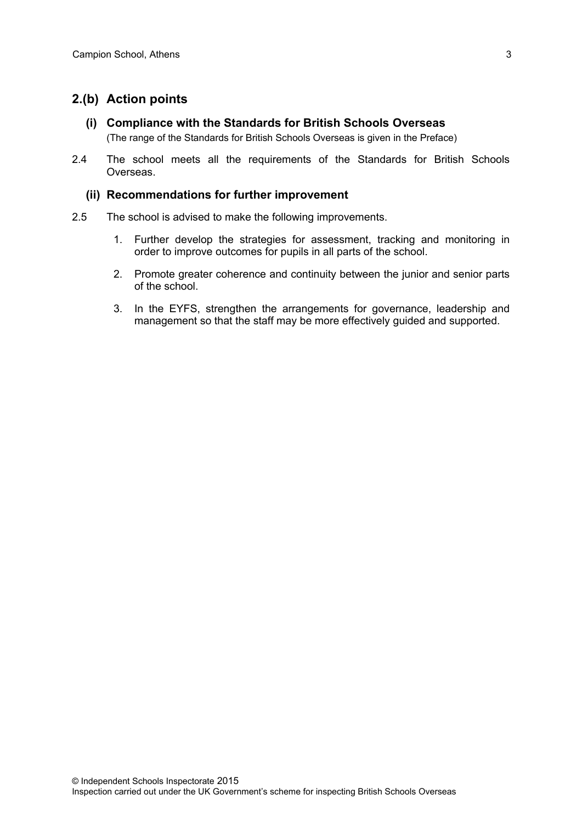#### **2.(b) Action points**

- **(i) Compliance with the Standards for British Schools Overseas** (The range of the Standards for British Schools Overseas is given in the Preface)
- 2.4 The school meets all the requirements of the Standards for British Schools Overseas.

#### **(ii) Recommendations for further improvement**

- 2.5 The school is advised to make the following improvements.
	- 1. Further develop the strategies for assessment, tracking and monitoring in order to improve outcomes for pupils in all parts of the school.
	- 2. Promote greater coherence and continuity between the junior and senior parts of the school.
	- 3. In the EYFS, strengthen the arrangements for governance, leadership and management so that the staff may be more effectively guided and supported.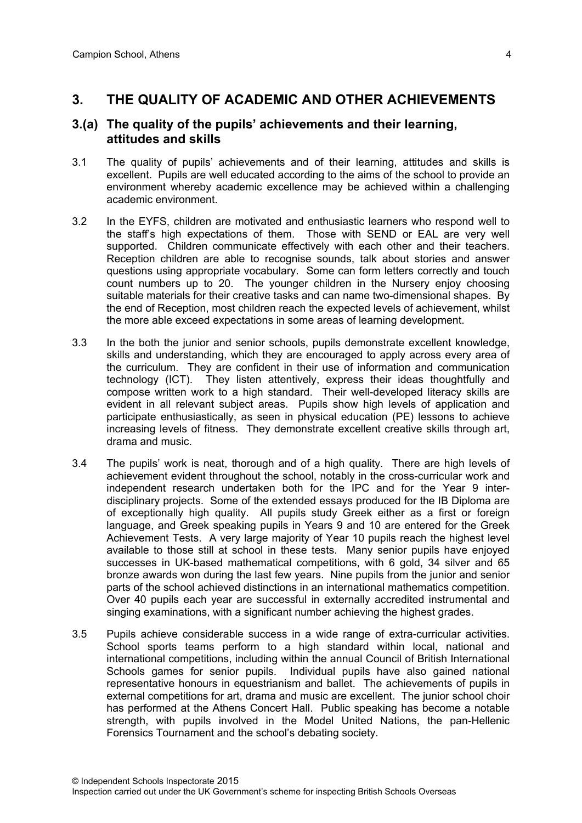### **3. THE QUALITY OF ACADEMIC AND OTHER ACHIEVEMENTS**

#### **3.(a) The quality of the pupils' achievements and their learning, attitudes and skills**

- 3.1 The quality of pupils' achievements and of their learning, attitudes and skills is excellent. Pupils are well educated according to the aims of the school to provide an environment whereby academic excellence may be achieved within a challenging academic environment.
- 3.2 In the EYFS, children are motivated and enthusiastic learners who respond well to the staff's high expectations of them. Those with SEND or EAL are very well supported. Children communicate effectively with each other and their teachers. Reception children are able to recognise sounds, talk about stories and answer questions using appropriate vocabulary. Some can form letters correctly and touch count numbers up to 20. The younger children in the Nursery enjoy choosing suitable materials for their creative tasks and can name two-dimensional shapes. By the end of Reception, most children reach the expected levels of achievement, whilst the more able exceed expectations in some areas of learning development.
- 3.3 In the both the junior and senior schools, pupils demonstrate excellent knowledge, skills and understanding, which they are encouraged to apply across every area of the curriculum. They are confident in their use of information and communication technology (ICT). They listen attentively, express their ideas thoughtfully and compose written work to a high standard. Their well-developed literacy skills are evident in all relevant subject areas. Pupils show high levels of application and participate enthusiastically, as seen in physical education (PE) lessons to achieve increasing levels of fitness. They demonstrate excellent creative skills through art, drama and music.
- 3.4 The pupils' work is neat, thorough and of a high quality. There are high levels of achievement evident throughout the school, notably in the cross-curricular work and independent research undertaken both for the IPC and for the Year 9 interdisciplinary projects. Some of the extended essays produced for the IB Diploma are of exceptionally high quality. All pupils study Greek either as a first or foreign language, and Greek speaking pupils in Years 9 and 10 are entered for the Greek Achievement Tests. A very large majority of Year 10 pupils reach the highest level available to those still at school in these tests. Many senior pupils have enjoyed successes in UK-based mathematical competitions, with 6 gold, 34 silver and 65 bronze awards won during the last few years. Nine pupils from the junior and senior parts of the school achieved distinctions in an international mathematics competition. Over 40 pupils each year are successful in externally accredited instrumental and singing examinations, with a significant number achieving the highest grades.
- 3.5 Pupils achieve considerable success in a wide range of extra-curricular activities. School sports teams perform to a high standard within local, national and international competitions, including within the annual Council of British International Schools games for senior pupils. Individual pupils have also gained national representative honours in equestrianism and ballet. The achievements of pupils in external competitions for art, drama and music are excellent. The junior school choir has performed at the Athens Concert Hall. Public speaking has become a notable strength, with pupils involved in the Model United Nations, the pan-Hellenic Forensics Tournament and the school's debating society.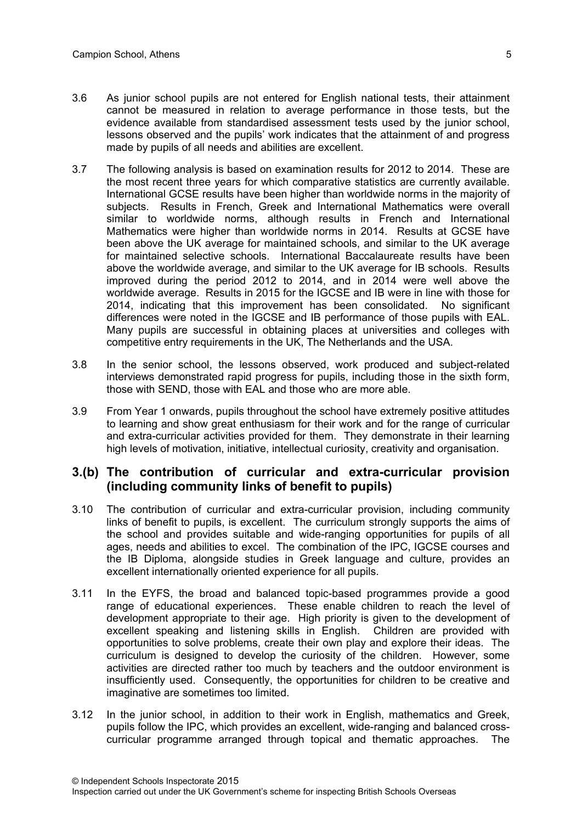- 3.6 As junior school pupils are not entered for English national tests, their attainment cannot be measured in relation to average performance in those tests, but the evidence available from standardised assessment tests used by the junior school, lessons observed and the pupils' work indicates that the attainment of and progress made by pupils of all needs and abilities are excellent.
- 3.7 The following analysis is based on examination results for 2012 to 2014. These are the most recent three years for which comparative statistics are currently available. International GCSE results have been higher than worldwide norms in the majority of subjects. Results in French, Greek and International Mathematics were overall similar to worldwide norms, although results in French and International Mathematics were higher than worldwide norms in 2014. Results at GCSE have been above the UK average for maintained schools, and similar to the UK average for maintained selective schools. International Baccalaureate results have been above the worldwide average, and similar to the UK average for IB schools. Results improved during the period 2012 to 2014, and in 2014 were well above the worldwide average. Results in 2015 for the IGCSE and IB were in line with those for 2014, indicating that this improvement has been consolidated. No significant differences were noted in the IGCSE and IB performance of those pupils with EAL. Many pupils are successful in obtaining places at universities and colleges with competitive entry requirements in the UK, The Netherlands and the USA.
- 3.8 In the senior school, the lessons observed, work produced and subject-related interviews demonstrated rapid progress for pupils, including those in the sixth form, those with SEND, those with EAL and those who are more able.
- 3.9 From Year 1 onwards, pupils throughout the school have extremely positive attitudes to learning and show great enthusiasm for their work and for the range of curricular and extra-curricular activities provided for them. They demonstrate in their learning high levels of motivation, initiative, intellectual curiosity, creativity and organisation.

#### **3.(b) The contribution of curricular and extra-curricular provision (including community links of benefit to pupils)**

- 3.10 The contribution of curricular and extra-curricular provision, including community links of benefit to pupils, is excellent. The curriculum strongly supports the aims of the school and provides suitable and wide-ranging opportunities for pupils of all ages, needs and abilities to excel. The combination of the IPC, IGCSE courses and the IB Diploma, alongside studies in Greek language and culture, provides an excellent internationally oriented experience for all pupils.
- 3.11 In the EYFS, the broad and balanced topic-based programmes provide a good range of educational experiences. These enable children to reach the level of development appropriate to their age. High priority is given to the development of excellent speaking and listening skills in English. Children are provided with opportunities to solve problems, create their own play and explore their ideas. The curriculum is designed to develop the curiosity of the children. However, some activities are directed rather too much by teachers and the outdoor environment is insufficiently used. Consequently, the opportunities for children to be creative and imaginative are sometimes too limited.
- 3.12 In the junior school, in addition to their work in English, mathematics and Greek, pupils follow the IPC, which provides an excellent, wide-ranging and balanced crosscurricular programme arranged through topical and thematic approaches. The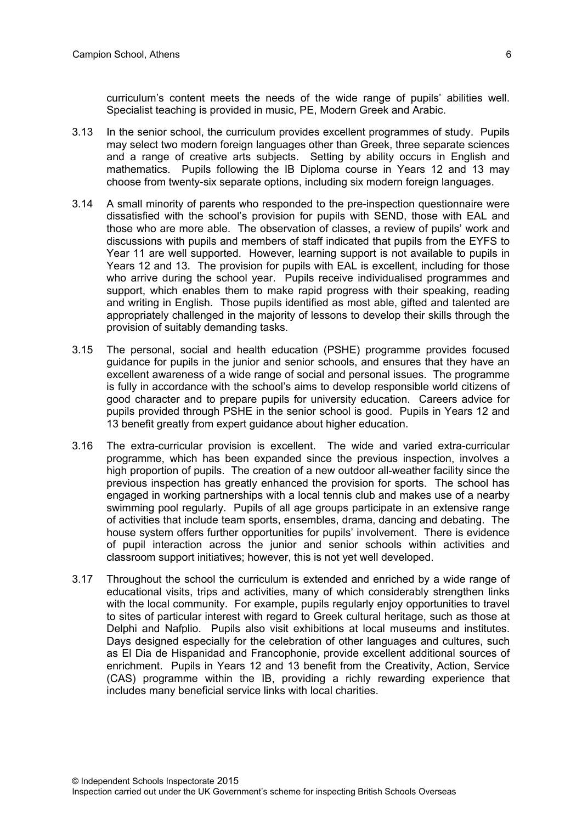curriculum's content meets the needs of the wide range of pupils' abilities well. Specialist teaching is provided in music, PE, Modern Greek and Arabic.

- 3.13 In the senior school, the curriculum provides excellent programmes of study. Pupils may select two modern foreign languages other than Greek, three separate sciences and a range of creative arts subjects. Setting by ability occurs in English and mathematics. Pupils following the IB Diploma course in Years 12 and 13 may choose from twenty-six separate options, including six modern foreign languages.
- 3.14 A small minority of parents who responded to the pre-inspection questionnaire were dissatisfied with the school's provision for pupils with SEND, those with EAL and those who are more able. The observation of classes, a review of pupils' work and discussions with pupils and members of staff indicated that pupils from the EYFS to Year 11 are well supported. However, learning support is not available to pupils in Years 12 and 13. The provision for pupils with EAL is excellent, including for those who arrive during the school year. Pupils receive individualised programmes and support, which enables them to make rapid progress with their speaking, reading and writing in English. Those pupils identified as most able, gifted and talented are appropriately challenged in the majority of lessons to develop their skills through the provision of suitably demanding tasks.
- 3.15 The personal, social and health education (PSHE) programme provides focused guidance for pupils in the junior and senior schools, and ensures that they have an excellent awareness of a wide range of social and personal issues. The programme is fully in accordance with the school's aims to develop responsible world citizens of good character and to prepare pupils for university education. Careers advice for pupils provided through PSHE in the senior school is good. Pupils in Years 12 and 13 benefit greatly from expert guidance about higher education.
- 3.16 The extra-curricular provision is excellent. The wide and varied extra-curricular programme, which has been expanded since the previous inspection, involves a high proportion of pupils. The creation of a new outdoor all-weather facility since the previous inspection has greatly enhanced the provision for sports. The school has engaged in working partnerships with a local tennis club and makes use of a nearby swimming pool regularly. Pupils of all age groups participate in an extensive range of activities that include team sports, ensembles, drama, dancing and debating. The house system offers further opportunities for pupils' involvement. There is evidence of pupil interaction across the junior and senior schools within activities and classroom support initiatives; however, this is not yet well developed.
- 3.17 Throughout the school the curriculum is extended and enriched by a wide range of educational visits, trips and activities, many of which considerably strengthen links with the local community. For example, pupils regularly enjoy opportunities to travel to sites of particular interest with regard to Greek cultural heritage, such as those at Delphi and Nafplio. Pupils also visit exhibitions at local museums and institutes. Days designed especially for the celebration of other languages and cultures, such as El Dia de Hispanidad and Francophonie, provide excellent additional sources of enrichment. Pupils in Years 12 and 13 benefit from the Creativity, Action, Service (CAS) programme within the IB, providing a richly rewarding experience that includes many beneficial service links with local charities.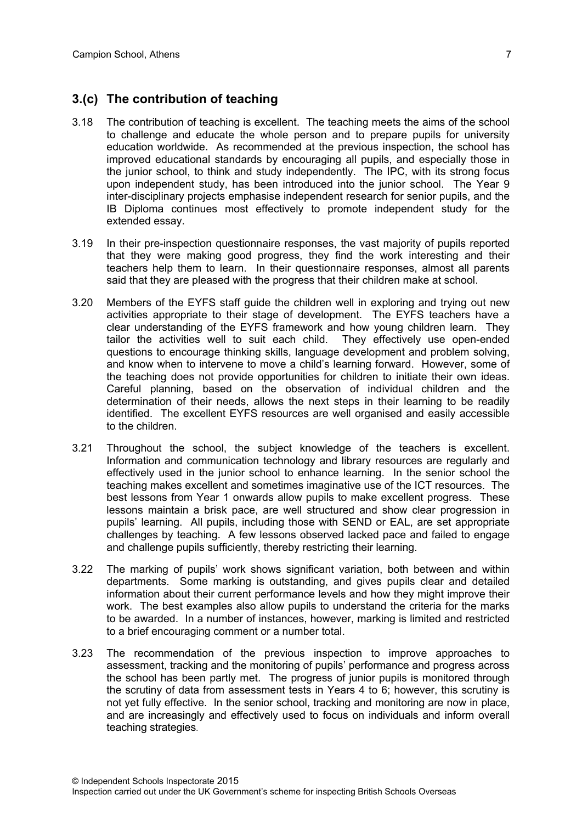#### **3.(c) The contribution of teaching**

- 3.18 The contribution of teaching is excellent. The teaching meets the aims of the school to challenge and educate the whole person and to prepare pupils for university education worldwide. As recommended at the previous inspection, the school has improved educational standards by encouraging all pupils, and especially those in the junior school, to think and study independently. The IPC, with its strong focus upon independent study, has been introduced into the junior school. The Year 9 inter-disciplinary projects emphasise independent research for senior pupils, and the IB Diploma continues most effectively to promote independent study for the extended essay.
- 3.19 In their pre-inspection questionnaire responses, the vast majority of pupils reported that they were making good progress, they find the work interesting and their teachers help them to learn. In their questionnaire responses, almost all parents said that they are pleased with the progress that their children make at school.
- 3.20 Members of the EYFS staff guide the children well in exploring and trying out new activities appropriate to their stage of development. The EYFS teachers have a clear understanding of the EYFS framework and how young children learn. They tailor the activities well to suit each child. They effectively use open-ended questions to encourage thinking skills, language development and problem solving, and know when to intervene to move a child's learning forward. However, some of the teaching does not provide opportunities for children to initiate their own ideas. Careful planning, based on the observation of individual children and the determination of their needs, allows the next steps in their learning to be readily identified. The excellent EYFS resources are well organised and easily accessible to the children.
- 3.21 Throughout the school, the subject knowledge of the teachers is excellent. Information and communication technology and library resources are regularly and effectively used in the junior school to enhance learning. In the senior school the teaching makes excellent and sometimes imaginative use of the ICT resources. The best lessons from Year 1 onwards allow pupils to make excellent progress. These lessons maintain a brisk pace, are well structured and show clear progression in pupils' learning. All pupils, including those with SEND or EAL, are set appropriate challenges by teaching. A few lessons observed lacked pace and failed to engage and challenge pupils sufficiently, thereby restricting their learning.
- 3.22 The marking of pupils' work shows significant variation, both between and within departments. Some marking is outstanding, and gives pupils clear and detailed information about their current performance levels and how they might improve their work. The best examples also allow pupils to understand the criteria for the marks to be awarded. In a number of instances, however, marking is limited and restricted to a brief encouraging comment or a number total.
- 3.23 The recommendation of the previous inspection to improve approaches to assessment, tracking and the monitoring of pupils' performance and progress across the school has been partly met. The progress of junior pupils is monitored through the scrutiny of data from assessment tests in Years 4 to 6; however, this scrutiny is not yet fully effective. In the senior school, tracking and monitoring are now in place, and are increasingly and effectively used to focus on individuals and inform overall teaching strategies.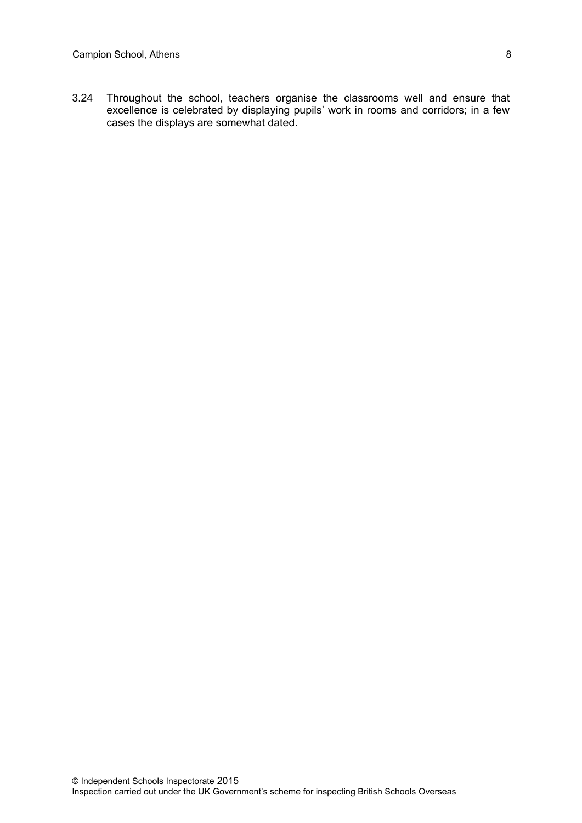3.24 Throughout the school, teachers organise the classrooms well and ensure that excellence is celebrated by displaying pupils' work in rooms and corridors; in a few cases the displays are somewhat dated.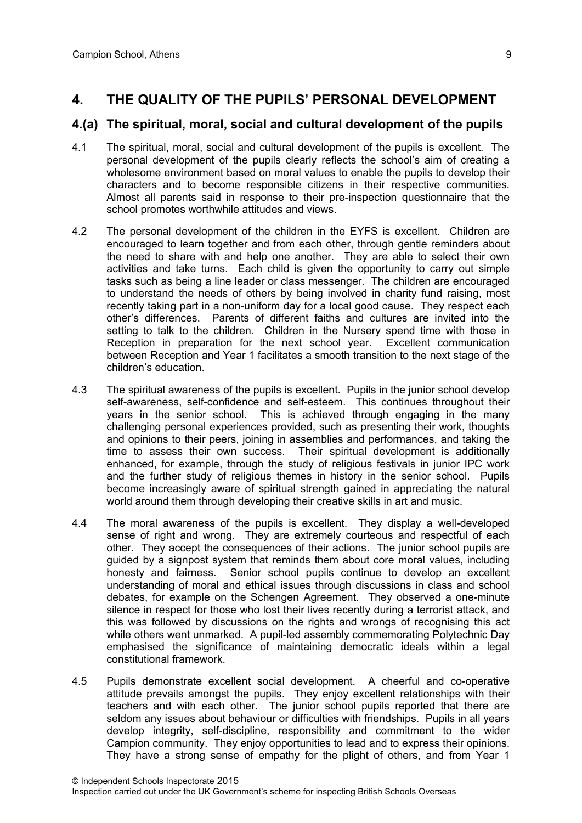## **4. THE QUALITY OF THE PUPILS' PERSONAL DEVELOPMENT**

#### **4.(a) The spiritual, moral, social and cultural development of the pupils**

- 4.1 The spiritual, moral, social and cultural development of the pupils is excellent. The personal development of the pupils clearly reflects the school's aim of creating a wholesome environment based on moral values to enable the pupils to develop their characters and to become responsible citizens in their respective communities*.*  Almost all parents said in response to their pre-inspection questionnaire that the school promotes worthwhile attitudes and views.
- 4.2 The personal development of the children in the EYFS is excellent. Children are encouraged to learn together and from each other, through gentle reminders about the need to share with and help one another. They are able to select their own activities and take turns. Each child is given the opportunity to carry out simple tasks such as being a line leader or class messenger. The children are encouraged to understand the needs of others by being involved in charity fund raising, most recently taking part in a non-uniform day for a local good cause. They respect each other's differences. Parents of different faiths and cultures are invited into the setting to talk to the children. Children in the Nursery spend time with those in Reception in preparation for the next school year. Excellent communication between Reception and Year 1 facilitates a smooth transition to the next stage of the children's education.
- 4.3 The spiritual awareness of the pupils is excellent. Pupils in the junior school develop self-awareness, self-confidence and self-esteem. This continues throughout their years in the senior school. This is achieved through engaging in the many challenging personal experiences provided, such as presenting their work, thoughts and opinions to their peers, joining in assemblies and performances, and taking the time to assess their own success. Their spiritual development is additionally enhanced, for example, through the study of religious festivals in junior IPC work and the further study of religious themes in history in the senior school. Pupils become increasingly aware of spiritual strength gained in appreciating the natural world around them through developing their creative skills in art and music.
- 4.4 The moral awareness of the pupils is excellent. They display a well-developed sense of right and wrong. They are extremely courteous and respectful of each other. They accept the consequences of their actions. The junior school pupils are guided by a signpost system that reminds them about core moral values, including honesty and fairness. Senior school pupils continue to develop an excellent understanding of moral and ethical issues through discussions in class and school debates, for example on the Schengen Agreement. They observed a one-minute silence in respect for those who lost their lives recently during a terrorist attack, and this was followed by discussions on the rights and wrongs of recognising this act while others went unmarked. A pupil-led assembly commemorating Polytechnic Day emphasised the significance of maintaining democratic ideals within a legal constitutional framework.
- 4.5 Pupils demonstrate excellent social development. A cheerful and co-operative attitude prevails amongst the pupils. They enjoy excellent relationships with their teachers and with each other. The junior school pupils reported that there are seldom any issues about behaviour or difficulties with friendships. Pupils in all years develop integrity, self-discipline, responsibility and commitment to the wider Campion community. They enjoy opportunities to lead and to express their opinions. They have a strong sense of empathy for the plight of others, and from Year 1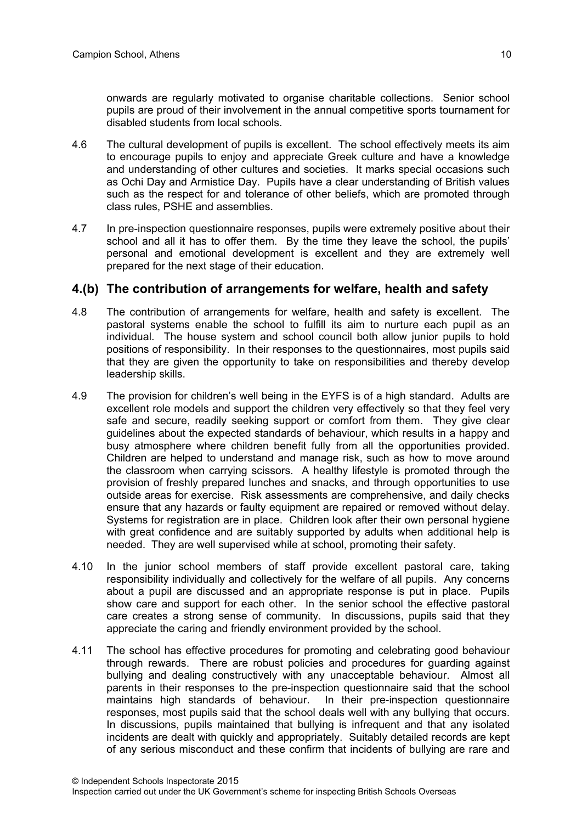onwards are regularly motivated to organise charitable collections. Senior school pupils are proud of their involvement in the annual competitive sports tournament for disabled students from local schools.

- 4.6 The cultural development of pupils is excellent. The school effectively meets its aim to encourage pupils to enjoy and appreciate Greek culture and have a knowledge and understanding of other cultures and societies. It marks special occasions such as Ochi Day and Armistice Day. Pupils have a clear understanding of British values such as the respect for and tolerance of other beliefs, which are promoted through class rules, PSHE and assemblies.
- 4.7 In pre-inspection questionnaire responses, pupils were extremely positive about their school and all it has to offer them. By the time they leave the school, the pupils' personal and emotional development is excellent and they are extremely well prepared for the next stage of their education.

#### **4.(b) The contribution of arrangements for welfare, health and safety**

- 4.8 The contribution of arrangements for welfare, health and safety is excellent. The pastoral systems enable the school to fulfill its aim to nurture each pupil as an individual. The house system and school council both allow junior pupils to hold positions of responsibility. In their responses to the questionnaires, most pupils said that they are given the opportunity to take on responsibilities and thereby develop leadership skills.
- 4.9 The provision for children's well being in the EYFS is of a high standard. Adults are excellent role models and support the children very effectively so that they feel very safe and secure, readily seeking support or comfort from them. They give clear guidelines about the expected standards of behaviour, which results in a happy and busy atmosphere where children benefit fully from all the opportunities provided. Children are helped to understand and manage risk, such as how to move around the classroom when carrying scissors. A healthy lifestyle is promoted through the provision of freshly prepared lunches and snacks, and through opportunities to use outside areas for exercise. Risk assessments are comprehensive, and daily checks ensure that any hazards or faulty equipment are repaired or removed without delay. Systems for registration are in place. Children look after their own personal hygiene with great confidence and are suitably supported by adults when additional help is needed. They are well supervised while at school, promoting their safety.
- 4.10 In the junior school members of staff provide excellent pastoral care, taking responsibility individually and collectively for the welfare of all pupils. Any concerns about a pupil are discussed and an appropriate response is put in place. Pupils show care and support for each other. In the senior school the effective pastoral care creates a strong sense of community. In discussions, pupils said that they appreciate the caring and friendly environment provided by the school.
- 4.11 The school has effective procedures for promoting and celebrating good behaviour through rewards. There are robust policies and procedures for guarding against bullying and dealing constructively with any unacceptable behaviour. Almost all parents in their responses to the pre-inspection questionnaire said that the school maintains high standards of behaviour. In their pre-inspection questionnaire responses, most pupils said that the school deals well with any bullying that occurs. In discussions, pupils maintained that bullying is infrequent and that any isolated incidents are dealt with quickly and appropriately. Suitably detailed records are kept of any serious misconduct and these confirm that incidents of bullying are rare and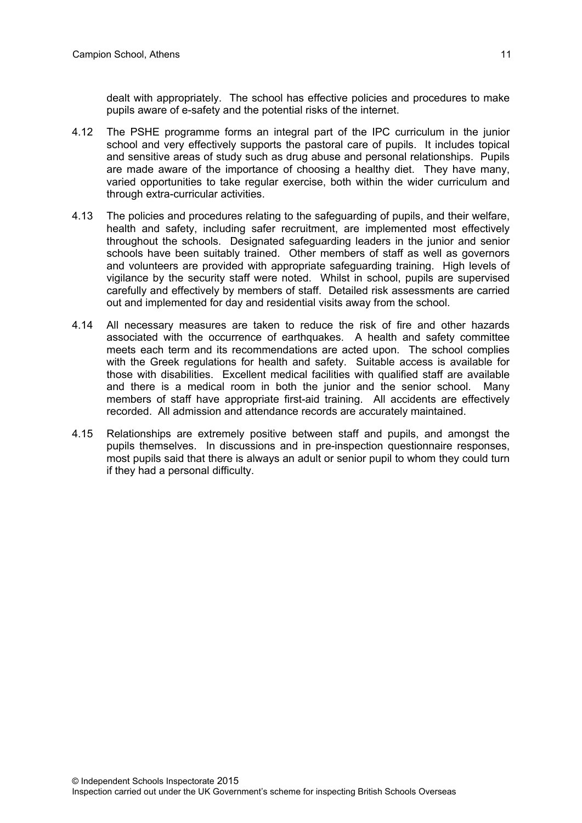dealt with appropriately. The school has effective policies and procedures to make pupils aware of e-safety and the potential risks of the internet.

- 4.12 The PSHE programme forms an integral part of the IPC curriculum in the junior school and very effectively supports the pastoral care of pupils. It includes topical and sensitive areas of study such as drug abuse and personal relationships. Pupils are made aware of the importance of choosing a healthy diet. They have many, varied opportunities to take regular exercise, both within the wider curriculum and through extra-curricular activities.
- 4.13 The policies and procedures relating to the safeguarding of pupils, and their welfare, health and safety, including safer recruitment, are implemented most effectively throughout the schools. Designated safeguarding leaders in the junior and senior schools have been suitably trained. Other members of staff as well as governors and volunteers are provided with appropriate safeguarding training. High levels of vigilance by the security staff were noted. Whilst in school, pupils are supervised carefully and effectively by members of staff. Detailed risk assessments are carried out and implemented for day and residential visits away from the school.
- 4.14 All necessary measures are taken to reduce the risk of fire and other hazards associated with the occurrence of earthquakes. A health and safety committee meets each term and its recommendations are acted upon. The school complies with the Greek regulations for health and safety. Suitable access is available for those with disabilities. Excellent medical facilities with qualified staff are available and there is a medical room in both the junior and the senior school. Many members of staff have appropriate first-aid training. All accidents are effectively recorded. All admission and attendance records are accurately maintained.
- 4.15 Relationships are extremely positive between staff and pupils, and amongst the pupils themselves. In discussions and in pre-inspection questionnaire responses, most pupils said that there is always an adult or senior pupil to whom they could turn if they had a personal difficulty.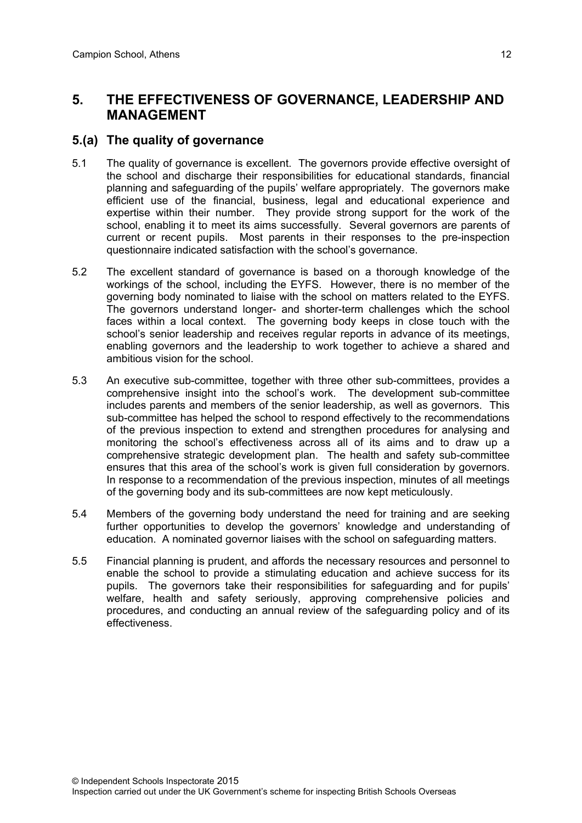## **5. THE EFFECTIVENESS OF GOVERNANCE, LEADERSHIP AND MANAGEMENT**

## **5.(a) The quality of governance**

- 5.1 The quality of governance is excellent. The governors provide effective oversight of the school and discharge their responsibilities for educational standards, financial planning and safeguarding of the pupils' welfare appropriately. The governors make efficient use of the financial, business, legal and educational experience and expertise within their number. They provide strong support for the work of the school, enabling it to meet its aims successfully. Several governors are parents of current or recent pupils. Most parents in their responses to the pre-inspection questionnaire indicated satisfaction with the school's governance.
- 5.2 The excellent standard of governance is based on a thorough knowledge of the workings of the school, including the EYFS. However, there is no member of the governing body nominated to liaise with the school on matters related to the EYFS. The governors understand longer- and shorter-term challenges which the school faces within a local context. The governing body keeps in close touch with the school's senior leadership and receives regular reports in advance of its meetings, enabling governors and the leadership to work together to achieve a shared and ambitious vision for the school.
- 5.3 An executive sub-committee, together with three other sub-committees, provides a comprehensive insight into the school's work. The development sub-committee includes parents and members of the senior leadership, as well as governors. This sub-committee has helped the school to respond effectively to the recommendations of the previous inspection to extend and strengthen procedures for analysing and monitoring the school's effectiveness across all of its aims and to draw up a comprehensive strategic development plan. The health and safety sub-committee ensures that this area of the school's work is given full consideration by governors. In response to a recommendation of the previous inspection, minutes of all meetings of the governing body and its sub-committees are now kept meticulously.
- 5.4 Members of the governing body understand the need for training and are seeking further opportunities to develop the governors' knowledge and understanding of education. A nominated governor liaises with the school on safeguarding matters.
- 5.5 Financial planning is prudent, and affords the necessary resources and personnel to enable the school to provide a stimulating education and achieve success for its pupils. The governors take their responsibilities for safeguarding and for pupils' welfare, health and safety seriously, approving comprehensive policies and procedures, and conducting an annual review of the safeguarding policy and of its effectiveness.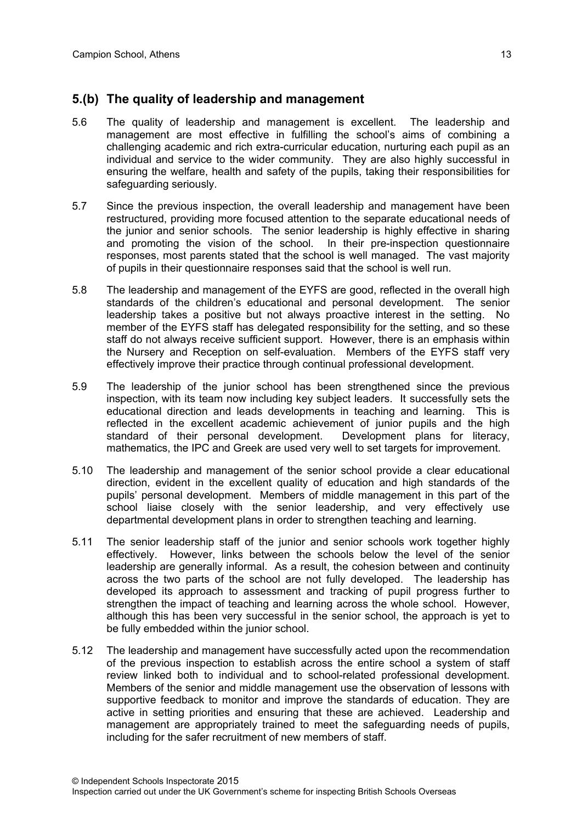## **5.(b) The quality of leadership and management**

- 5.6 The quality of leadership and management is excellent. The leadership and management are most effective in fulfilling the school's aims of combining a challenging academic and rich extra-curricular education, nurturing each pupil as an individual and service to the wider community. They are also highly successful in ensuring the welfare, health and safety of the pupils, taking their responsibilities for safeguarding seriously.
- 5.7 Since the previous inspection, the overall leadership and management have been restructured, providing more focused attention to the separate educational needs of the junior and senior schools. The senior leadership is highly effective in sharing and promoting the vision of the school. In their pre-inspection questionnaire responses, most parents stated that the school is well managed. The vast majority of pupils in their questionnaire responses said that the school is well run.
- 5.8 The leadership and management of the EYFS are good, reflected in the overall high standards of the children's educational and personal development. The senior leadership takes a positive but not always proactive interest in the setting. No member of the EYFS staff has delegated responsibility for the setting, and so these staff do not always receive sufficient support. However, there is an emphasis within the Nursery and Reception on self-evaluation. Members of the EYFS staff very effectively improve their practice through continual professional development.
- 5.9 The leadership of the junior school has been strengthened since the previous inspection, with its team now including key subject leaders. It successfully sets the educational direction and leads developments in teaching and learning. This is reflected in the excellent academic achievement of junior pupils and the high standard of their personal development. Development plans for literacy, mathematics, the IPC and Greek are used very well to set targets for improvement.
- 5.10 The leadership and management of the senior school provide a clear educational direction, evident in the excellent quality of education and high standards of the pupils' personal development. Members of middle management in this part of the school liaise closely with the senior leadership, and very effectively use departmental development plans in order to strengthen teaching and learning.
- 5.11 The senior leadership staff of the junior and senior schools work together highly effectively. However, links between the schools below the level of the senior leadership are generally informal. As a result, the cohesion between and continuity across the two parts of the school are not fully developed. The leadership has developed its approach to assessment and tracking of pupil progress further to strengthen the impact of teaching and learning across the whole school. However, although this has been very successful in the senior school, the approach is yet to be fully embedded within the junior school.
- 5.12 The leadership and management have successfully acted upon the recommendation of the previous inspection to establish across the entire school a system of staff review linked both to individual and to school-related professional development. Members of the senior and middle management use the observation of lessons with supportive feedback to monitor and improve the standards of education. They are active in setting priorities and ensuring that these are achieved. Leadership and management are appropriately trained to meet the safeguarding needs of pupils, including for the safer recruitment of new members of staff.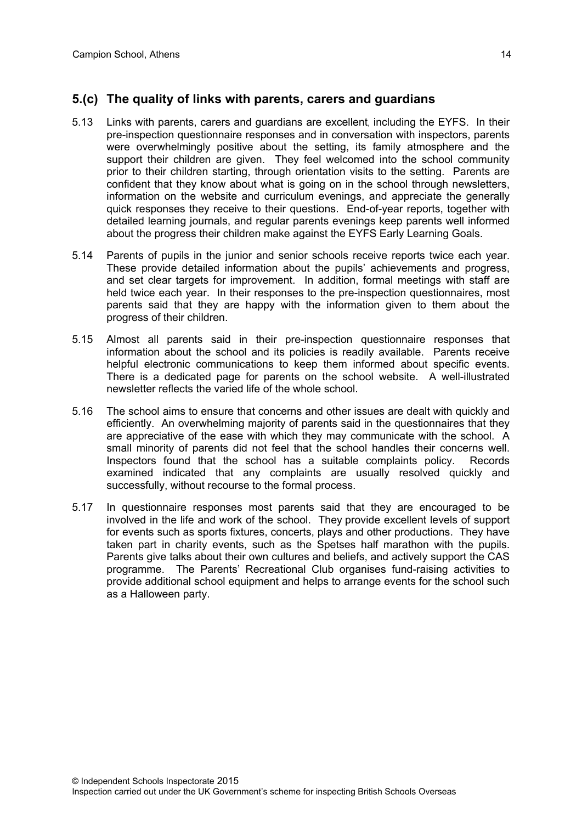#### **5.(c) The quality of links with parents, carers and guardians**

- 5.13 Links with parents, carers and guardians are excellent, including the EYFS. In their pre-inspection questionnaire responses and in conversation with inspectors, parents were overwhelmingly positive about the setting, its family atmosphere and the support their children are given. They feel welcomed into the school community prior to their children starting, through orientation visits to the setting. Parents are confident that they know about what is going on in the school through newsletters, information on the website and curriculum evenings, and appreciate the generally quick responses they receive to their questions. End-of-year reports, together with detailed learning journals, and regular parents evenings keep parents well informed about the progress their children make against the EYFS Early Learning Goals.
- 5.14 Parents of pupils in the junior and senior schools receive reports twice each year. These provide detailed information about the pupils' achievements and progress, and set clear targets for improvement. In addition, formal meetings with staff are held twice each year. In their responses to the pre-inspection questionnaires, most parents said that they are happy with the information given to them about the progress of their children.
- 5.15 Almost all parents said in their pre-inspection questionnaire responses that information about the school and its policies is readily available. Parents receive helpful electronic communications to keep them informed about specific events. There is a dedicated page for parents on the school website. A well-illustrated newsletter reflects the varied life of the whole school.
- 5.16 The school aims to ensure that concerns and other issues are dealt with quickly and efficiently. An overwhelming majority of parents said in the questionnaires that they are appreciative of the ease with which they may communicate with the school. A small minority of parents did not feel that the school handles their concerns well. Inspectors found that the school has a suitable complaints policy. Records examined indicated that any complaints are usually resolved quickly and successfully, without recourse to the formal process.
- 5.17 In questionnaire responses most parents said that they are encouraged to be involved in the life and work of the school. They provide excellent levels of support for events such as sports fixtures, concerts, plays and other productions. They have taken part in charity events, such as the Spetses half marathon with the pupils. Parents give talks about their own cultures and beliefs, and actively support the CAS programme. The Parents' Recreational Club organises fund-raising activities to provide additional school equipment and helps to arrange events for the school such as a Halloween party.